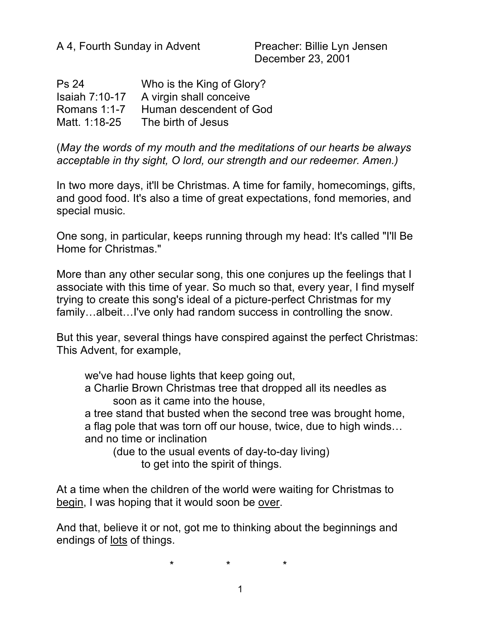| <b>Ps 24</b>          | Who is the King of Glory? |
|-----------------------|---------------------------|
| <b>Isaiah 7:10-17</b> | A virgin shall conceive   |
| Romans $1:1-7$        | Human descendent of God   |
| Matt. 1:18-25         | The birth of Jesus        |

(*May the words of my mouth and the meditations of our hearts be always acceptable in thy sight, O lord, our strength and our redeemer. Amen.)*

In two more days, it'll be Christmas. A time for family, homecomings, gifts, and good food. It's also a time of great expectations, fond memories, and special music.

One song, in particular, keeps running through my head: It's called "I'll Be Home for Christmas."

More than any other secular song, this one conjures up the feelings that I associate with this time of year. So much so that, every year, I find myself trying to create this song's ideal of a picture-perfect Christmas for my family...albeit...I've only had random success in controlling the snow.

But this year, several things have conspired against the perfect Christmas: This Advent, for example,

we've had house lights that keep going out,

a Charlie Brown Christmas tree that dropped all its needles as soon as it came into the house,

a tree stand that busted when the second tree was brought home, a flag pole that was torn off our house, twice, due to high winds… and no time or inclination

(due to the usual events of day-to-day living) to get into the spirit of things.

At a time when the children of the world were waiting for Christmas to begin, I was hoping that it would soon be over.

And that, believe it or not, got me to thinking about the beginnings and endings of lots of things.

\* \* \*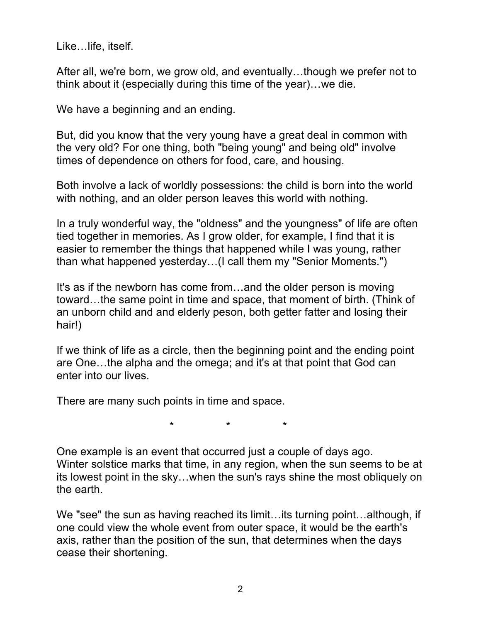Like…life, itself.

After all, we're born, we grow old, and eventually…though we prefer not to think about it (especially during this time of the year)…we die.

We have a beginning and an ending.

But, did you know that the very young have a great deal in common with the very old? For one thing, both "being young" and being old" involve times of dependence on others for food, care, and housing.

Both involve a lack of worldly possessions: the child is born into the world with nothing, and an older person leaves this world with nothing.

In a truly wonderful way, the "oldness" and the youngness" of life are often tied together in memories. As I grow older, for example, I find that it is easier to remember the things that happened while I was young, rather than what happened yesterday…(I call them my "Senior Moments.")

It's as if the newborn has come from…and the older person is moving toward…the same point in time and space, that moment of birth. (Think of an unborn child and and elderly peson, both getter fatter and losing their hair!)

If we think of life as a circle, then the beginning point and the ending point are One…the alpha and the omega; and it's at that point that God can enter into our lives.

There are many such points in time and space.

\* \* \*

One example is an event that occurred just a couple of days ago. Winter solstice marks that time, in any region, when the sun seems to be at its lowest point in the sky…when the sun's rays shine the most obliquely on the earth.

We "see" the sun as having reached its limit...its turning point...although, if one could view the whole event from outer space, it would be the earth's axis, rather than the position of the sun, that determines when the days cease their shortening.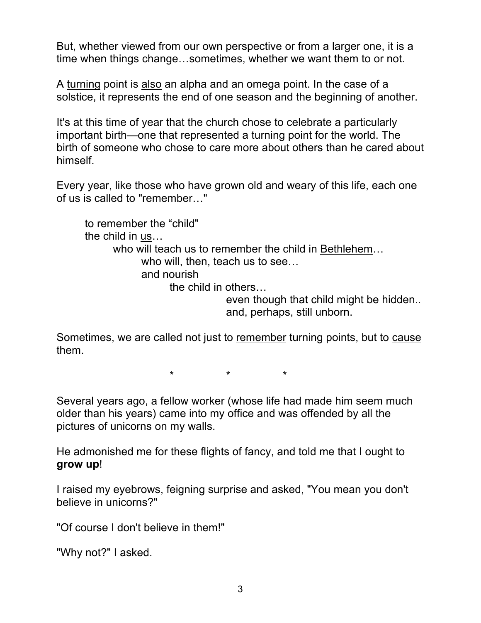But, whether viewed from our own perspective or from a larger one, it is a time when things change…sometimes, whether we want them to or not.

A turning point is also an alpha and an omega point. In the case of a solstice, it represents the end of one season and the beginning of another.

It's at this time of year that the church chose to celebrate a particularly important birth—one that represented a turning point for the world. The birth of someone who chose to care more about others than he cared about himself.

Every year, like those who have grown old and weary of this life, each one of us is called to "remember…"

to remember the "child" the child in us… who will teach us to remember the child in Bethlehem… who will, then, teach us to see… and nourish the child in others… even though that child might be hidden.. and, perhaps, still unborn.

Sometimes, we are called not just to remember turning points, but to cause them.

 $\star$   $\star$   $\star$ 

Several years ago, a fellow worker (whose life had made him seem much older than his years) came into my office and was offended by all the pictures of unicorns on my walls.

He admonished me for these flights of fancy, and told me that I ought to **grow up**!

I raised my eyebrows, feigning surprise and asked, "You mean you don't believe in unicorns?"

"Of course I don't believe in them!"

"Why not?" I asked.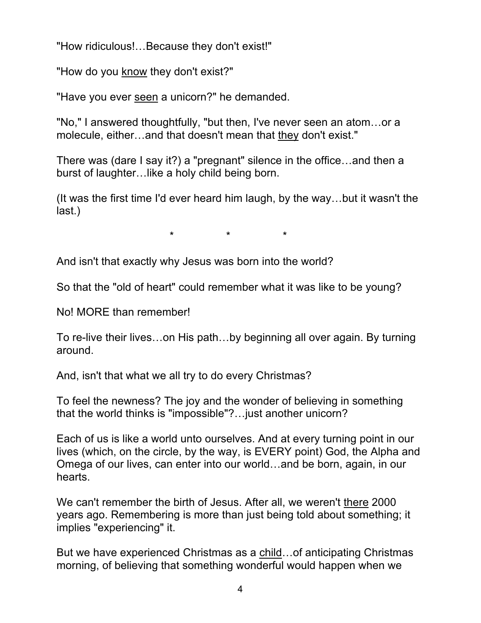"How ridiculous!…Because they don't exist!"

"How do you know they don't exist?"

"Have you ever seen a unicorn?" he demanded.

"No," I answered thoughtfully, "but then, I've never seen an atom…or a molecule, either…and that doesn't mean that they don't exist."

There was (dare I say it?) a "pregnant" silence in the office…and then a burst of laughter…like a holy child being born.

(It was the first time I'd ever heard him laugh, by the way…but it wasn't the last.)

\* \* \*

And isn't that exactly why Jesus was born into the world?

So that the "old of heart" could remember what it was like to be young?

No! MORE than remember!

To re-live their lives…on His path…by beginning all over again. By turning around.

And, isn't that what we all try to do every Christmas?

To feel the newness? The joy and the wonder of believing in something that the world thinks is "impossible"?…just another unicorn?

Each of us is like a world unto ourselves. And at every turning point in our lives (which, on the circle, by the way, is EVERY point) God, the Alpha and Omega of our lives, can enter into our world…and be born, again, in our hearts.

We can't remember the birth of Jesus. After all, we weren't there 2000 years ago. Remembering is more than just being told about something; it implies "experiencing" it.

But we have experienced Christmas as a child…of anticipating Christmas morning, of believing that something wonderful would happen when we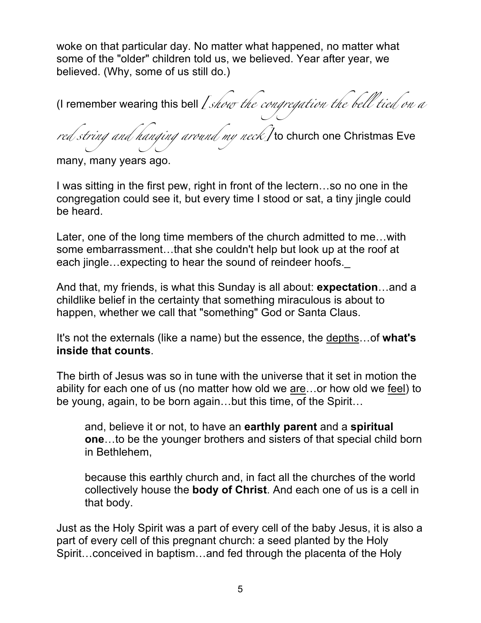woke on that particular day. No matter what happened, no matter what some of the "older" children told us, we believed. Year after year, we believed. (Why, some of us still do.)

(I remember wearing this bell *[show the congregation the bell tied on a red string and hanging around my neck]* to church one Christmas Eve

many, many years ago.

I was sitting in the first pew, right in front of the lectern…so no one in the congregation could see it, but every time I stood or sat, a tiny jingle could be heard.

Later, one of the long time members of the church admitted to me…with some embarrassment…that she couldn't help but look up at the roof at each jingle…expecting to hear the sound of reindeer hoofs.

And that, my friends, is what this Sunday is all about: **expectation**…and a childlike belief in the certainty that something miraculous is about to happen, whether we call that "something" God or Santa Claus.

It's not the externals (like a name) but the essence, the depths…of **what's inside that counts**.

The birth of Jesus was so in tune with the universe that it set in motion the ability for each one of us (no matter how old we are…or how old we feel) to be young, again, to be born again…but this time, of the Spirit…

and, believe it or not, to have an **earthly parent** and a **spiritual one**…to be the younger brothers and sisters of that special child born in Bethlehem,

because this earthly church and, in fact all the churches of the world collectively house the **body of Christ**. And each one of us is a cell in that body.

Just as the Holy Spirit was a part of every cell of the baby Jesus, it is also a part of every cell of this pregnant church: a seed planted by the Holy Spirit…conceived in baptism…and fed through the placenta of the Holy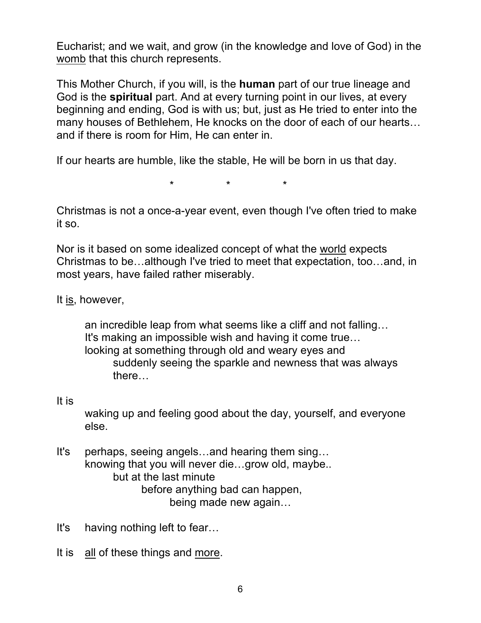Eucharist; and we wait, and grow (in the knowledge and love of God) in the womb that this church represents.

This Mother Church, if you will, is the **human** part of our true lineage and God is the **spiritual** part. And at every turning point in our lives, at every beginning and ending, God is with us; but, just as He tried to enter into the many houses of Bethlehem, He knocks on the door of each of our hearts… and if there is room for Him, He can enter in.

If our hearts are humble, like the stable, He will be born in us that day.

\* \* \*

Christmas is not a once-a-year event, even though I've often tried to make it so.

Nor is it based on some idealized concept of what the world expects Christmas to be…although I've tried to meet that expectation, too…and, in most years, have failed rather miserably.

It is, however,

an incredible leap from what seems like a cliff and not falling… It's making an impossible wish and having it come true… looking at something through old and weary eyes and suddenly seeing the sparkle and newness that was always there…

## It is

waking up and feeling good about the day, yourself, and everyone else.

- It's perhaps, seeing angels…and hearing them sing… knowing that you will never die…grow old, maybe.. but at the last minute before anything bad can happen, being made new again…
- It's having nothing left to fear…
- It is all of these things and more.